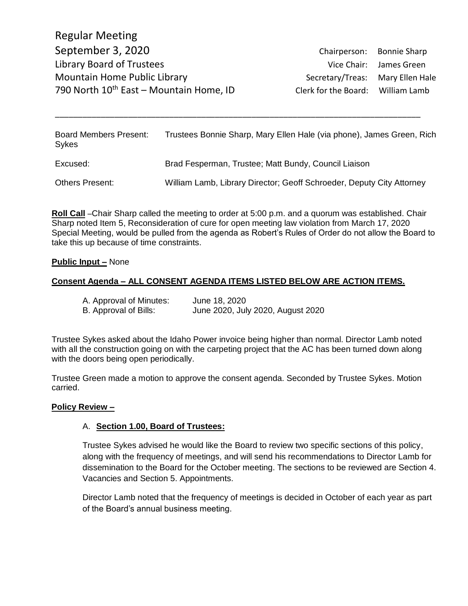Regular Meeting September 3, 2020 Chairperson: Bonnie Sharp Library Board of Trustees and Trustees Vice Chair: James Green Mountain Home Public Library **Secretary/Treas:** Mary Ellen Hale 790 North  $10^{th}$  East – Mountain Home, ID Clerk for the Board: William Lamb

| <b>Board Members Present:</b><br><b>Sykes</b> | Trustees Bonnie Sharp, Mary Ellen Hale (via phone), James Green, Rich |
|-----------------------------------------------|-----------------------------------------------------------------------|
| Excused:                                      | Brad Fesperman, Trustee; Matt Bundy, Council Liaison                  |
| <b>Others Present:</b>                        | William Lamb, Library Director; Geoff Schroeder, Deputy City Attorney |

\_\_\_\_\_\_\_\_\_\_\_\_\_\_\_\_\_\_\_\_\_\_\_\_\_\_\_\_\_\_\_\_\_\_\_\_\_\_\_\_\_\_\_\_\_\_\_\_\_\_\_\_\_\_\_\_\_\_\_\_\_\_\_\_\_\_\_\_\_\_\_\_\_\_\_\_\_\_\_\_

**Roll Call** –Chair Sharp called the meeting to order at 5:00 p.m. and a quorum was established. Chair Sharp noted Item 5, Reconsideration of cure for open meeting law violation from March 17, 2020 Special Meeting, would be pulled from the agenda as Robert's Rules of Order do not allow the Board to take this up because of time constraints.

#### **Public Input –** None

### **Consent Agenda – ALL CONSENT AGENDA ITEMS LISTED BELOW ARE ACTION ITEMS.**

| A. Approval of Minutes: | June 18, 2020                     |
|-------------------------|-----------------------------------|
| B. Approval of Bills:   | June 2020, July 2020, August 2020 |

Trustee Sykes asked about the Idaho Power invoice being higher than normal. Director Lamb noted with all the construction going on with the carpeting project that the AC has been turned down along with the doors being open periodically.

Trustee Green made a motion to approve the consent agenda. Seconded by Trustee Sykes. Motion carried.

#### **Policy Review –**

### A. **Section 1.00, Board of Trustees:**

Trustee Sykes advised he would like the Board to review two specific sections of this policy, along with the frequency of meetings, and will send his recommendations to Director Lamb for dissemination to the Board for the October meeting. The sections to be reviewed are Section 4. Vacancies and Section 5. Appointments.

Director Lamb noted that the frequency of meetings is decided in October of each year as part of the Board's annual business meeting.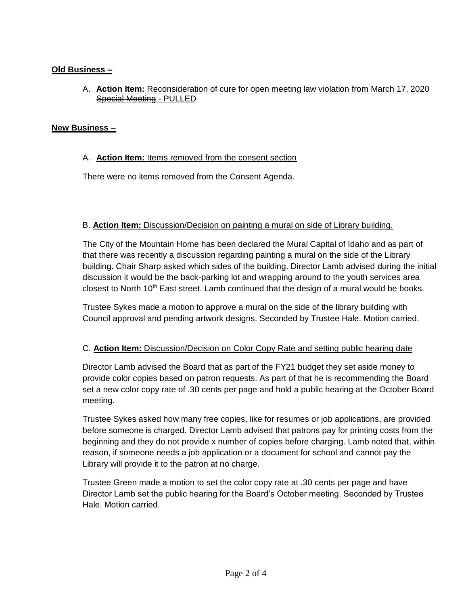# **Old Business –**

A. **Action Item:** Reconsideration of cure for open meeting law violation from March 17, 2020 Special Meeting - PULLED

### **New Business –**

### A. **Action Item:** Items removed from the consent section

There were no items removed from the Consent Agenda.

## B. **Action Item:** Discussion/Decision on painting a mural on side of Library building.

The City of the Mountain Home has been declared the Mural Capital of Idaho and as part of that there was recently a discussion regarding painting a mural on the side of the Library building. Chair Sharp asked which sides of the building. Director Lamb advised during the initial discussion it would be the back-parking lot and wrapping around to the youth services area closest to North  $10<sup>th</sup>$  East street. Lamb continued that the design of a mural would be books.

Trustee Sykes made a motion to approve a mural on the side of the library building with Council approval and pending artwork designs. Seconded by Trustee Hale. Motion carried.

### C. **Action Item:** Discussion/Decision on Color Copy Rate and setting public hearing date

Director Lamb advised the Board that as part of the FY21 budget they set aside money to provide color copies based on patron requests. As part of that he is recommending the Board set a new color copy rate of .30 cents per page and hold a public hearing at the October Board meeting.

Trustee Sykes asked how many free copies, like for resumes or job applications, are provided before someone is charged. Director Lamb advised that patrons pay for printing costs from the beginning and they do not provide x number of copies before charging. Lamb noted that, within reason, if someone needs a job application or a document for school and cannot pay the Library will provide it to the patron at no charge.

Trustee Green made a motion to set the color copy rate at .30 cents per page and have Director Lamb set the public hearing for the Board's October meeting. Seconded by Trustee Hale. Motion carried.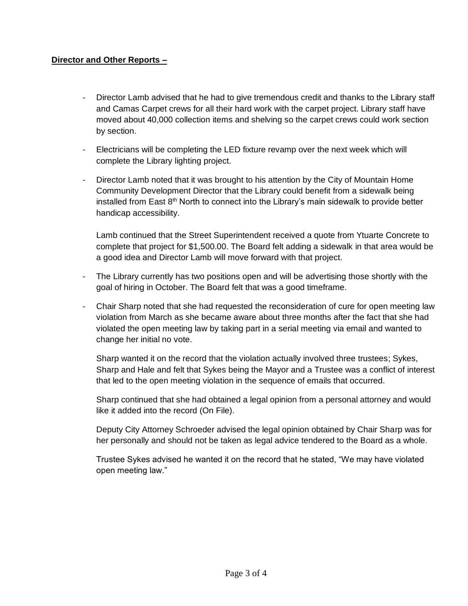## **Director and Other Reports –**

- Director Lamb advised that he had to give tremendous credit and thanks to the Library staff and Camas Carpet crews for all their hard work with the carpet project. Library staff have moved about 40,000 collection items and shelving so the carpet crews could work section by section.
- Electricians will be completing the LED fixture revamp over the next week which will complete the Library lighting project.
- Director Lamb noted that it was brought to his attention by the City of Mountain Home Community Development Director that the Library could benefit from a sidewalk being installed from East  $8<sup>th</sup>$  North to connect into the Library's main sidewalk to provide better handicap accessibility.

Lamb continued that the Street Superintendent received a quote from Ytuarte Concrete to complete that project for \$1,500.00. The Board felt adding a sidewalk in that area would be a good idea and Director Lamb will move forward with that project.

- The Library currently has two positions open and will be advertising those shortly with the goal of hiring in October. The Board felt that was a good timeframe.
- Chair Sharp noted that she had requested the reconsideration of cure for open meeting law violation from March as she became aware about three months after the fact that she had violated the open meeting law by taking part in a serial meeting via email and wanted to change her initial no vote.

Sharp wanted it on the record that the violation actually involved three trustees; Sykes, Sharp and Hale and felt that Sykes being the Mayor and a Trustee was a conflict of interest that led to the open meeting violation in the sequence of emails that occurred.

Sharp continued that she had obtained a legal opinion from a personal attorney and would like it added into the record (On File).

Deputy City Attorney Schroeder advised the legal opinion obtained by Chair Sharp was for her personally and should not be taken as legal advice tendered to the Board as a whole.

Trustee Sykes advised he wanted it on the record that he stated, "We may have violated open meeting law."